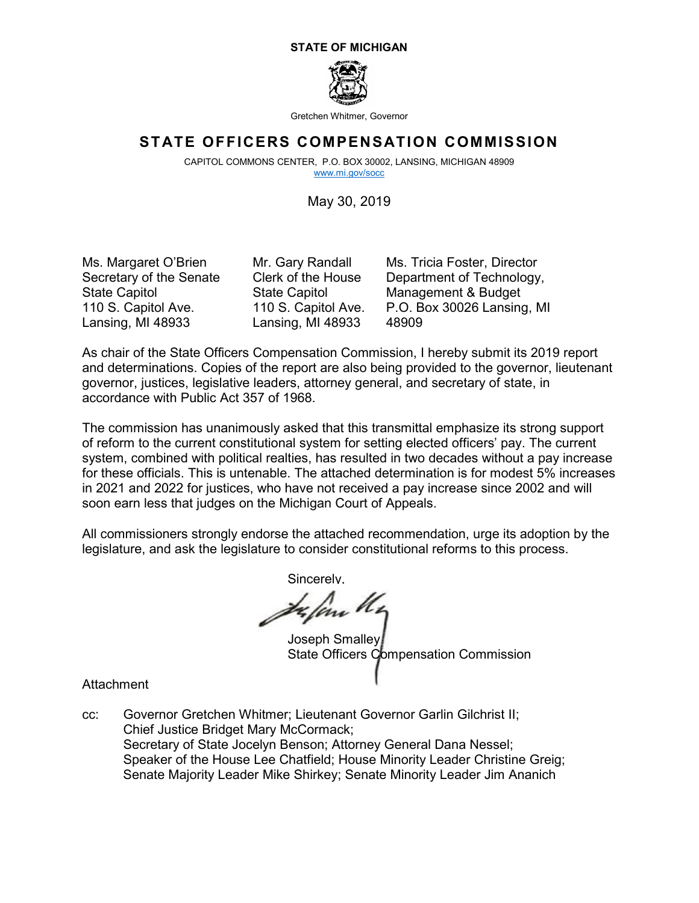#### **STATE OF MICHIGAN**



Gretchen Whitmer, Governor

### **STATE OFFICERS COMPENSATION COMMISSION**

 CAPITOL COMMONS CENTER, P.O. BOX 30002, LANSING, MICHIGAN 48909 [www.mi.gov/socc](http://www.mi.gov/socc) 

May 30, 2019

Ms. Margaret O'Brien Secretary of the Senate State Capitol 110 S. Capitol Ave. Lansing, MI 48933

Mr. Gary Randall Clerk of the House State Capitol 110 S. Capitol Ave. Lansing, MI 48933

Ms. Tricia Foster, Director Department of Technology, Management & Budget P.O. Box 30026 Lansing, MI 48909

As chair of the State Officers Compensation Commission, I hereby submit its 2019 report and determinations. Copies of the report are also being provided to the governor, lieutenant governor, justices, legislative leaders, attorney general, and secretary of state, in accordance with Public Act 357 of 1968.

The commission has unanimously asked that this transmittal emphasize its strong support of reform to the current constitutional system for setting elected officers' pay. The current system, combined with political realties, has resulted in two decades without a pay increase for these officials. This is untenable. The attached determination is for modest 5% increases in 2021 and 2022 for justices, who have not received a pay increase since 2002 and will soon earn less that judges on the Michigan Court of Appeals.

All commissioners strongly endorse the attached recommendation, urge its adoption by the legislature, and ask the legislature to consider constitutional reforms to this process.

Sincerely,

z len U.

Joseph Smalley State Officers Compensation Commission

**Attachment** 

 Chief Justice Bridget Mary McCormack; cc: Governor Gretchen Whitmer; Lieutenant Governor Garlin Gilchrist II; Secretary of State Jocelyn Benson; Attorney General Dana Nessel; Speaker of the House Lee Chatfield; House Minority Leader Christine Greig; Senate Majority Leader Mike Shirkey; Senate Minority Leader Jim Ananich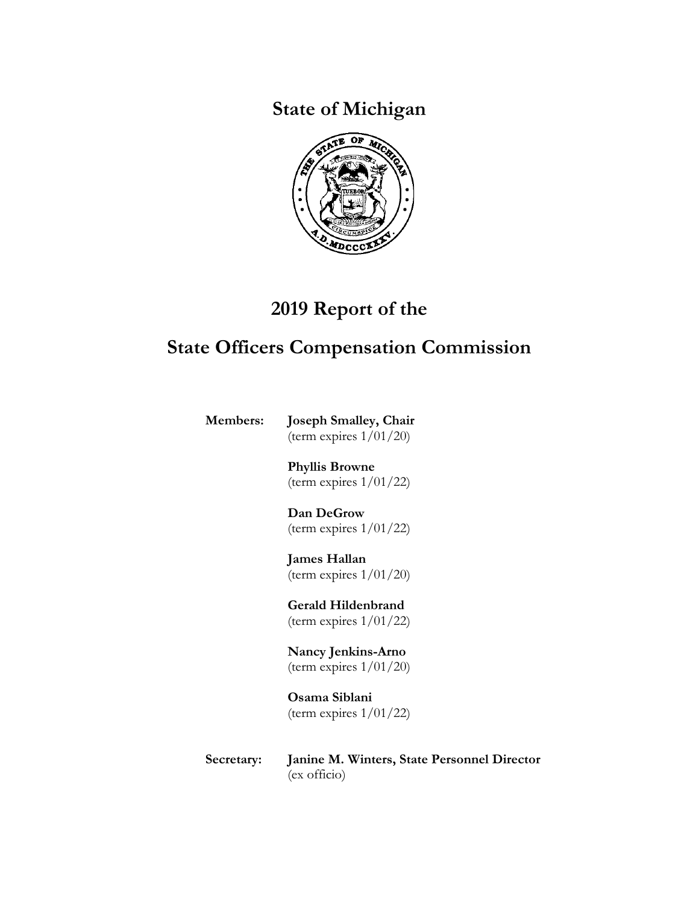**State of Michigan** 



# **2019 Report of the**

# **State Officers Compensation Commission**

**Members: Joseph Smalley, Chair**  (term expires 1/01/20)

> **Phyllis Browne**  (term expires 1/01/22)

> **Dan DeGrow**  (term expires 1/01/22)

> **James Hallan**  (term expires 1/01/20)

> **Gerald Hildenbrand**  (term expires 1/01/22)

> **Nancy Jenkins-Arno**  (term expires 1/01/20)

**Osama Siblani**  (term expires  $1/01/22$ )

**Secretary: Janine M. Winters, State Personnel Director**  (ex officio)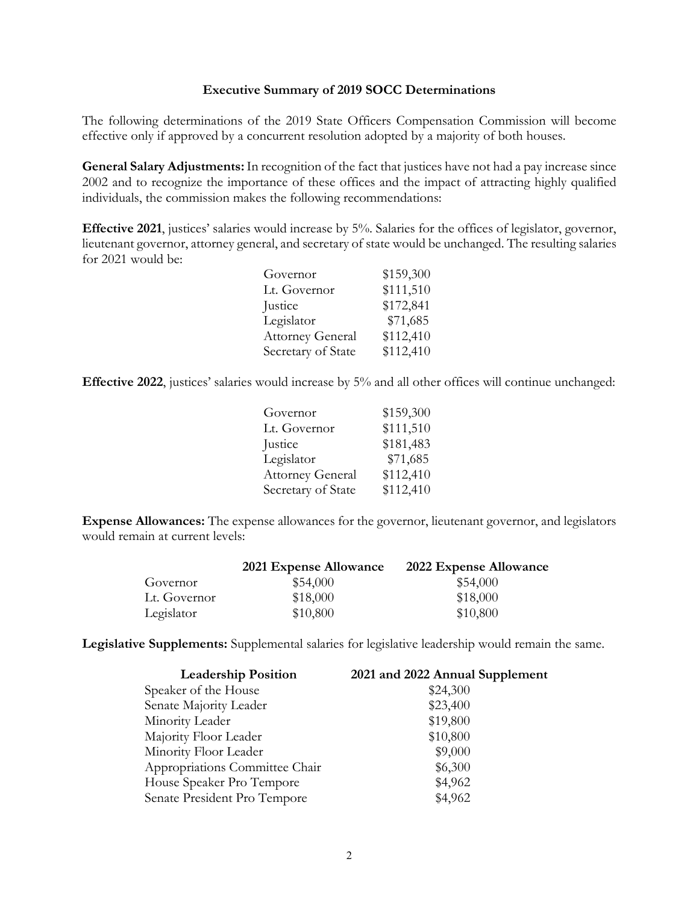#### **Executive Summary of 2019 SOCC Determinations**

 effective only if approved by a concurrent resolution adopted by a majority of both houses. The following determinations of the 2019 State Officers Compensation Commission will become

 **General Salary Adjustments:** In recognition of the fact that justices have not had a pay increase since individuals, the commission makes the following recommendations: 2002 and to recognize the importance of these offices and the impact of attracting highly qualified

**Effective 2021**, justices' salaries would increase by 5%. Salaries for the offices of legislator, governor, lieutenant governor, attorney general, and secretary of state would be unchanged. The resulting salaries for 2021 would be:

| Governor                | \$159,300 |
|-------------------------|-----------|
| Lt. Governor            | \$111,510 |
| Justice                 | \$172,841 |
| Legislator              | \$71,685  |
| <b>Attorney General</b> | \$112,410 |
| Secretary of State      | \$112,410 |

 **Effective 2022**, justices' salaries would increase by 5% and all other offices will continue unchanged:

| Governor                | \$159,300 |
|-------------------------|-----------|
| Lt. Governor            | \$111,510 |
| Justice                 | \$181,483 |
| Legislator              | \$71,685  |
| <b>Attorney General</b> | \$112,410 |
| Secretary of State      | \$112,410 |

 **Expense Allowances:** The expense allowances for the governor, lieutenant governor, and legislators would remain at current levels:

|              | 2021 Expense Allowance | 2022 Expense Allowance |
|--------------|------------------------|------------------------|
| Governor     | \$54,000               | \$54,000               |
| Lt. Governor | \$18,000               | \$18,000               |
| Legislator   | \$10,800               | \$10,800               |

**Legislative Supplements:** Supplemental salaries for legislative leadership would remain the same.

| <b>Leadership Position</b>     | 2021 and 2022 Annual Supplement |
|--------------------------------|---------------------------------|
| Speaker of the House           | \$24,300                        |
| Senate Majority Leader         | \$23,400                        |
| Minority Leader                | \$19,800                        |
| Majority Floor Leader          | \$10,800                        |
| Minority Floor Leader          | \$9,000                         |
| Appropriations Committee Chair | \$6,300                         |
| House Speaker Pro Tempore      | \$4,962                         |
| Senate President Pro Tempore   | \$4,962                         |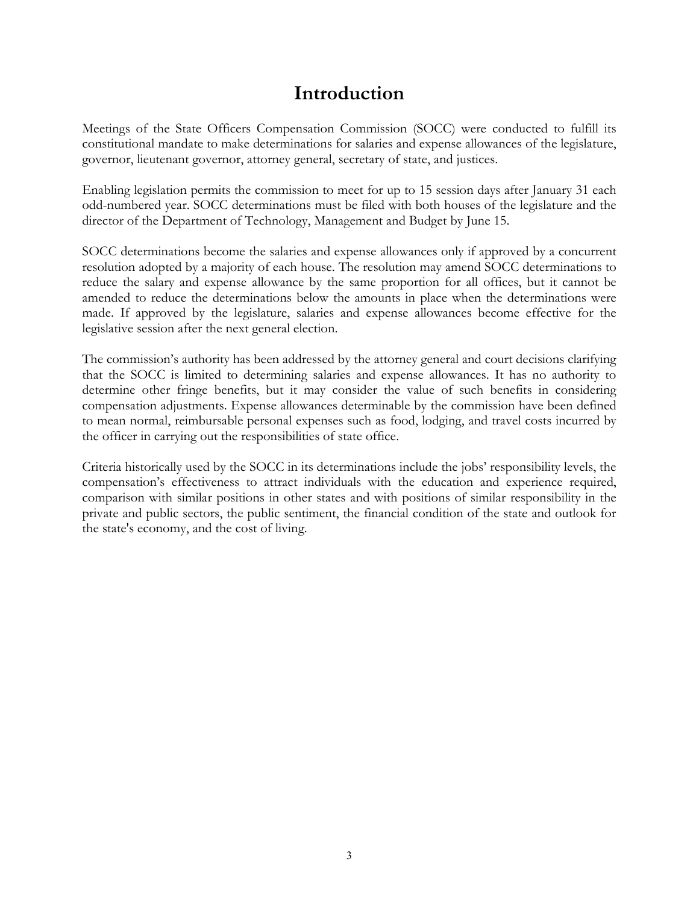## **Introduction**

 governor, lieutenant governor, attorney general, secretary of state, and justices. Meetings of the State Officers Compensation Commission (SOCC) were conducted to fulfill its constitutional mandate to make determinations for salaries and expense allowances of the legislature,

 Enabling legislation permits the commission to meet for up to 15 session days after January 31 each director of the Department of Technology, Management and Budget by June 15. odd-numbered year. SOCC determinations must be filed with both houses of the legislature and the

 SOCC determinations become the salaries and expense allowances only if approved by a concurrent resolution adopted by a majority of each house. The resolution may amend SOCC determinations to reduce the salary and expense allowance by the same proportion for all offices, but it cannot be amended to reduce the determinations below the amounts in place when the determinations were made. If approved by the legislature, salaries and expense allowances become effective for the legislative session after the next general election.

the officer in carrying out the responsibilities of state office. The commission's authority has been addressed by the attorney general and court decisions clarifying that the SOCC is limited to determining salaries and expense allowances. It has no authority to determine other fringe benefits, but it may consider the value of such benefits in considering compensation adjustments. Expense allowances determinable by the commission have been defined to mean normal, reimbursable personal expenses such as food, lodging, and travel costs incurred by

the officer in carrying out the responsibilities of state office.<br>Criteria historically used by the SOCC in its determinations include the jobs' responsibility levels, the compensation's effectiveness to attract individuals with the education and experience required, comparison with similar positions in other states and with positions of similar responsibility in the private and public sectors, the public sentiment, the financial condition of the state and outlook for the state's economy, and the cost of living.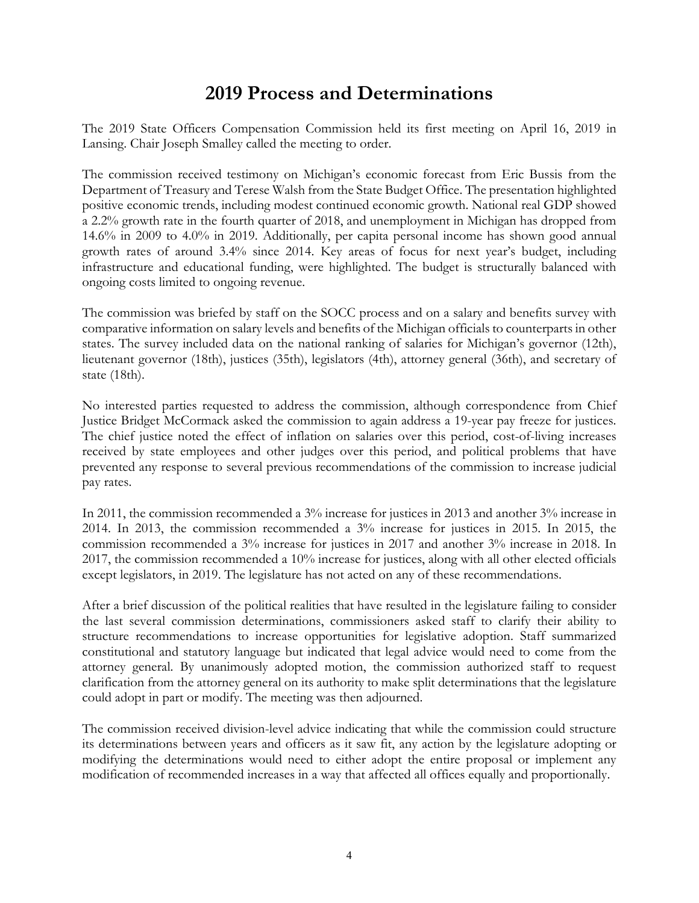### **2019 Process and Determinations**

The 2019 State Officers Compensation Commission held its first meeting on April 16, 2019 in Lansing. Chair Joseph Smalley called the meeting to order.

 The commission received testimony on Michigan's economic forecast from Eric Bussis from the ongoing costs limited to ongoing revenue. Department of Treasury and Terese Walsh from the State Budget Office. The presentation highlighted positive economic trends, including modest continued economic growth. National real GDP showed a 2.2% growth rate in the fourth quarter of 2018, and unemployment in Michigan has dropped from 14.6% in 2009 to 4.0% in 2019. Additionally, per capita personal income has shown good annual growth rates of around 3.4% since 2014. Key areas of focus for next year's budget, including infrastructure and educational funding, were highlighted. The budget is structurally balanced with

 states. The survey included data on the national ranking of salaries for Michigan's governor (12th), lieutenant governor (18th), justices (35th), legislators (4th), attorney general (36th), and secretary of state (18th). The commission was briefed by staff on the SOCC process and on a salary and benefits survey with comparative information on salary levels and benefits of the Michigan officials to counterparts in other

No interested parties requested to address the commission, although correspondence from Chief Justice Bridget McCormack asked the commission to again address a 19-year pay freeze for justices. The chief justice noted the effect of inflation on salaries over this period, cost-of-living increases received by state employees and other judges over this period, and political problems that have prevented any response to several previous recommendations of the commission to increase judicial pay rates.

In 2011, the commission recommended a 3% increase for justices in 2013 and another 3% increase in 2014. In 2013, the commission recommended a 3% increase for justices in 2015. In 2015, the commission recommended a 3% increase for justices in 2017 and another 3% increase in 2018. In 2017, the commission recommended a 10% increase for justices, along with all other elected officials except legislators, in 2019. The legislature has not acted on any of these recommendations.

 the last several commission determinations, commissioners asked staff to clarify their ability to clarification from the attorney general on its authority to make split determinations that the legislature After a brief discussion of the political realities that have resulted in the legislature failing to consider structure recommendations to increase opportunities for legislative adoption. Staff summarized constitutional and statutory language but indicated that legal advice would need to come from the attorney general. By unanimously adopted motion, the commission authorized staff to request could adopt in part or modify. The meeting was then adjourned.

The commission received division-level advice indicating that while the commission could structure its determinations between years and officers as it saw fit, any action by the legislature adopting or modifying the determinations would need to either adopt the entire proposal or implement any modification of recommended increases in a way that affected all offices equally and proportionally.